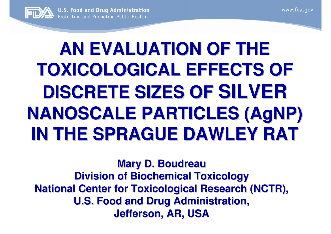

# **AN EVALUATION OF THE TOXICOLOGICAL EFFECTS OF DISCRETE SIZES OF SILVERNANOSCALE PARTICLES (AgNP) IN THE SPRAGUE DAWLEY RAT**

**Mary D. Boudreau Division of Biochemical Toxicology National Center for Toxicological Research (NCTR), U.S. Food and Drug Administration, Jefferson, AR, USA**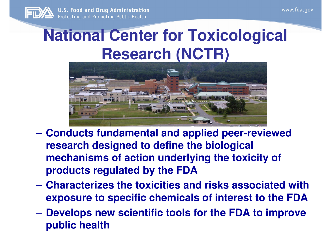

**U.S. Food and Drug Administration** Protecting and Promoting Public Health

### **National Center for Toxicological Research (NCTR)**



- **Conducts fundamental and applied peer-reviewed research designed to define the biological mechanisms of action underlying the toxicity of products regulated by the FDA**
- **Lawrence Committee Characterizes the toxicities and risks associated with exposure to specific chemicals of interest to the FDA**
- **However the Company Develops new scientific tools for the FDA to improve public health**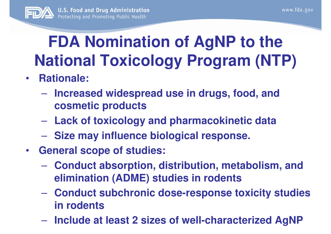

### **FDA Nomination of AgNP to the National Toxicology Program (NTP)**

- $\bullet$  **Rationale:**
	- $\mathcal{L}_{\mathcal{A}}$  , and the set of  $\mathcal{L}_{\mathcal{A}}$  **Increased widespread use in drugs, food, and cosmetic products**
	- $\mathcal{L}_{\mathcal{A}}$  , and the set of  $\mathcal{L}_{\mathcal{A}}$ **Lack of toxicology and pharmacokinetic data**
	- $\mathcal{L}_{\mathcal{A}}$  , and the set of  $\mathcal{L}_{\mathcal{A}}$ **Size may influence biological response.**
- $\bullet$  **General scope of studies:**
	- **Conduct absorption, distribution, metabolism, and elimination (ADME) studies in rodents**
	- $\mathcal{L}_{\mathcal{A}}$  , and the set of  $\mathcal{L}_{\mathcal{A}}$  **Conduct subchronic dose-response toxicity studies in rodents**
	- **Include at least 2 sizes of well-characterized AgNP**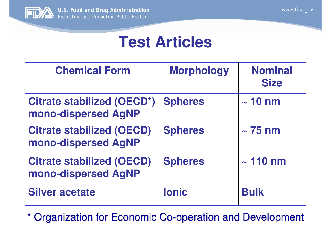

#### **Test Articles**

| <b>Chemical Form</b>                                    | <b>Morphology</b> | <b>Nominal</b><br><b>Size</b> |
|---------------------------------------------------------|-------------------|-------------------------------|
| Citrate stabilized (OECD*)<br>mono-dispersed AgNP       | <b>Spheres</b>    | $\sim$ 10 nm                  |
| <b>Citrate stabilized (OECD)</b><br>mono-dispersed AgNP | <b>Spheres</b>    | $\sim$ 75 nm                  |
| <b>Citrate stabilized (OECD)</b><br>mono-dispersed AgNP | <b>Spheres</b>    | $\sim$ 110 nm                 |
| <b>Silver acetate</b>                                   | <b>lonic</b>      | <b>Bulk</b>                   |

\* Organization for Economic Co-operation and Development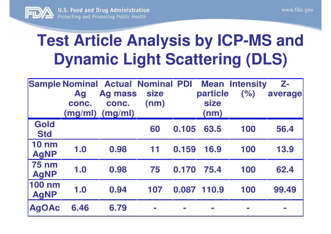

### **Test Article Analysis by ICP-MS and Dynamic Light Scattering (DLS)**

|                              | <b>Ag</b><br>conc. | <b>Sample Nominal Actual Nominal PDI</b><br><b>Ag mass</b><br>conc.<br>$(mg/ml)$ $(mg/ml)$ | <b>size</b><br>(nm) |       | particle<br><b>size</b><br>(nm) | <b>Mean Intensity</b><br>(% ) | $\mathbb{Z}$ -<br>average |
|------------------------------|--------------------|--------------------------------------------------------------------------------------------|---------------------|-------|---------------------------------|-------------------------------|---------------------------|
| Gold<br><b>Std</b>           |                    |                                                                                            | 60                  | 0.105 | 63.5                            | 100                           | 56.4                      |
| <b>10 nm</b><br><b>AgNP</b>  | 1.0                | 0.98                                                                                       | 11                  | 0.159 | 16.9                            | 100                           | 13.9                      |
| <b>75 nm</b><br><b>AgNP</b>  | 1.0                | 0.98                                                                                       | 75                  | 0.170 | 75.4                            | 100                           | 62.4                      |
| <b>100 nm</b><br><b>AgNP</b> | 1.0                | 0.94                                                                                       | 107                 |       | 0.087 110.9                     | 100                           | 99.49                     |
| <b>AgOAc</b>                 | 6.46               | 6.79                                                                                       | $\sim$              |       |                                 |                               |                           |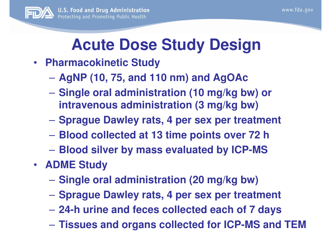

## **Acute Dose Study Design**

- **Pharmacokinetic Study** 
	- **Hart Committee AgNP (10, 75, and 110 nm) and AgOAc**
	- **Hart Committee Single oral administration (10 mg/kg bw) or intravenous administration (3 mg/kg bw)**
	- –**Sprague Dawley rats, 4 per sex per treatment**
	- **Blood collected at 13 time points over 72 h**
	- **Blood silver by mass evaluated by ICP-MS**
- **ADME Study** 
	- **Hart Committee Single oral administration (20 mg/kg bw)**
	- **Sprague Dawley rats, 4 per sex per treatment**
	- **Hart Committee 24-h urine and feces collected each of 7 days**
	- **Hart Committee Tissues and organs collected for ICP-MS and TEM**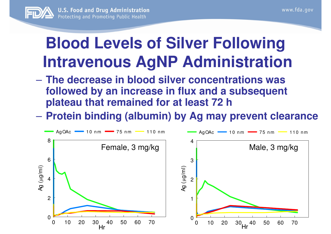

### **Blood Levels of Silver FollowingIntravenous AgNP Administration**

- **Hart Committee The decrease in blood silver concentrations was followed by an increase in flux and a subsequent plateau that remained for at least 72 h**
- **Protein binding (albumin) by Ag may prevent clearance**

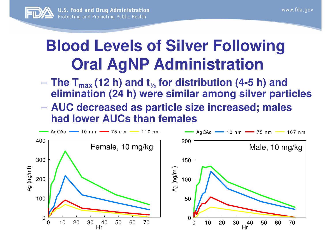

### **Blood Levels of Silver Following Oral AgNP Administration**

- **The Tmax (12 h) and t<sup>½</sup> for distribution (4-5 h) and elimination (24 h) were similar among silver particles**
- $\mathcal{L}_{\mathcal{A}}$  , and the set of  $\mathcal{L}_{\mathcal{A}}$  **AUC decreased as particle size increased; males had lower AUCs than females**

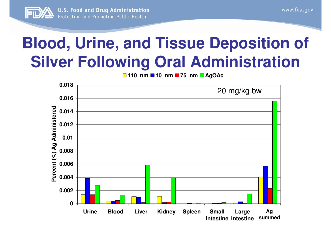

### **Blood, Urine, and Tissue Deposition of Silver Following Oral Administration**

**110\_nm 10\_nm 75\_nm AgOAc**

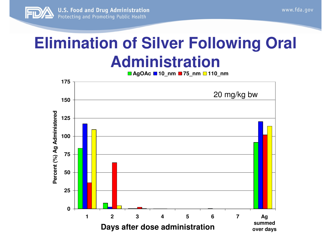

### **Elimination of Silver Following Oral Administration**

**AgOAc 10\_nm 75\_nm 110\_nm**

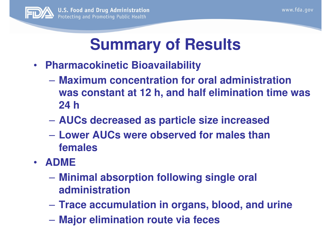

#### **Summary of Results**

- • **Pharmacokinetic Bioavailability**
	- **Hart Committee Maximum concentration for oral administration was constant at 12 h, and half elimination time was24 h**
	- **AUCs decreased as particle size increased**
	- **Hart Committee Lower AUCs were observed for males than females**
- **ADME**
	- **Hart Committee Minimal absorption following single oral administration**
	- **Hart Committee Trace accumulation in organs, blood, and urine**
	- **Major elimination route via feces**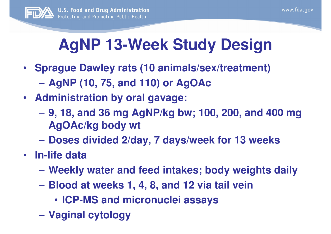

## **AgNP 13-Week Study Design**

- **Sprague Dawley rats (10 animals/sex/treatment)**  $\mathcal{L}_{\mathcal{A}}$  , and the set of  $\mathcal{L}_{\mathcal{A}}$ **AgNP (10, 75, and 110) or AgOAc**
- **Administration by oral gavage:** 
	- **9, 18, and 36 mg AgNP/kg bw; 100, 200, and 400 mg AgOAc/kg body wt**
	- **Doses divided 2/day, 7 days/week for 13 weeks**
- **In-life data** 
	- $\mathcal{L}_{\mathcal{A}}$  , and the set of  $\mathcal{L}_{\mathcal{A}}$ **Weekly water and feed intakes; body weights daily**
	- **Blood at weeks 1, 4, 8, and 12 via tail vein**
		- **ICP-MS and micronuclei assays**
	- $\mathcal{L}_{\mathcal{A}}$  , and the set of  $\mathcal{L}_{\mathcal{A}}$ **Vaginal cytology**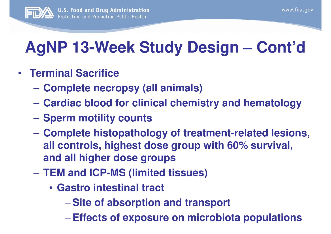

## **AgNP 13-Week Study Design – Cont'd**

- **Terminal Sacrifice**
	- $\mathcal{L}_{\mathcal{A}}$ **Complete necropsy (all animals)**
	- $\mathcal{L}_{\mathcal{A}}$  , and the set of  $\mathcal{L}_{\mathcal{A}}$ **Cardiac blood for clinical chemistry and hematology**
	- $\mathcal{L}_{\mathcal{A}}$  , and the set of  $\mathcal{L}_{\mathcal{A}}$ **Sperm motility counts**
	- $\mathcal{L}_{\mathcal{A}}$  , and the set of  $\mathcal{L}_{\mathcal{A}}$  **Complete histopathology of treatment-related lesions, all controls, highest dose group with 60% survival,and all higher dose groups**
	- $\mathcal{L}_{\mathcal{A}}$  , and the set of  $\mathcal{L}_{\mathcal{A}}$  **TEM and ICP-MS (limited tissues)**
		- **Gastro intestinal tract** 
			- **Site of absorption and transport**
			- **Hart Committee Effects of exposure on microbiota populations**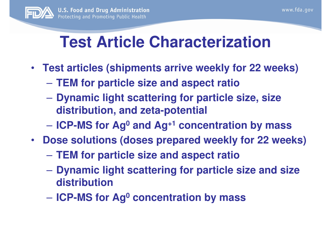### **Test Article Characterization**

- **Test articles (shipments arrive weekly for 22 weeks)**
	- $\mathcal{L}_{\mathcal{A}}$  , and the set of  $\mathcal{L}_{\mathcal{A}}$ **TEM for particle size and aspect ratio**
	- $\mathcal{L}_{\mathcal{A}}$  , and the set of  $\mathcal{L}_{\mathcal{A}}$  **Dynamic light scattering for particle size, size distribution, and zeta-potential**
	- $\mathcal{L}_{\mathcal{A}}$  , and the set of  $\mathcal{L}_{\mathcal{A}}$ **ICP-MS for Ag0 and Ag+1 concentration by mass**
- **Dose solutions (doses prepared weekly for 22 weeks)**
	- $\mathcal{L}_{\mathcal{A}}$  , and the set of  $\mathcal{L}_{\mathcal{A}}$ **TEM for particle size and aspect ratio**
	- $\mathcal{L}_{\mathcal{A}}$  , and the set of  $\mathcal{L}_{\mathcal{A}}$  **Dynamic light scattering for particle size and size distribution**
	- $\mathcal{L}_{\mathcal{A}}$  , and the set of  $\mathcal{L}_{\mathcal{A}}$ **ICP-MS for Ag0 concentration by mass**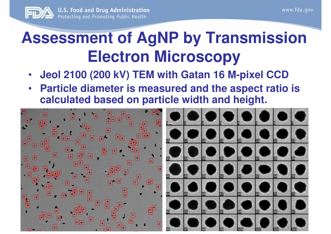

### **Assessment of AgNP by Transmission Electron Microscopy**

- **Jeol 2100 (200 kV) TEM with Gatan 16 M-pixel CCD** $\bullet$
- **Particle diameter is measured and the aspect ratio is**  •**calculated based on particle width and height.**

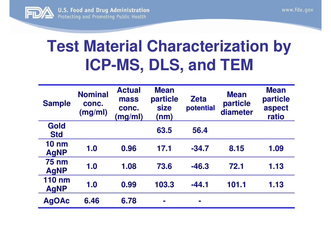

### **Test Material Characterization by ICP-MS, DLS, and TEM**

| <b>Sample</b>                  | <b>Nominal</b><br>conc.<br>(mg/ml) | <b>Actual</b><br>mass<br>conc.<br>(mg/ml) | <b>Mean</b><br>particle<br><b>size</b><br>(nm) | <b>Zeta</b><br>potential | <b>Mean</b><br>particle<br>diameter | <b>Mean</b><br>particle<br>aspect<br>ratio |
|--------------------------------|------------------------------------|-------------------------------------------|------------------------------------------------|--------------------------|-------------------------------------|--------------------------------------------|
| Gold<br><b>Std</b>             |                                    |                                           | 63.5                                           | 56.4                     |                                     |                                            |
| $10 \text{ nm}$<br><b>AgNP</b> | 1.0                                | 0.96                                      | 17.1                                           | $-34.7$                  | 8.15                                | 1.09                                       |
| <b>75 nm</b><br><b>AgNP</b>    | 1.0                                | 1.08                                      | 73.6                                           | $-46.3$                  | 72.1                                | 1.13                                       |
| <b>110 nm</b><br><b>AgNP</b>   | 1.0                                | 0.99                                      | 103.3                                          | $-44.1$                  | 101.1                               | 1.13                                       |
| <b>AgOAc</b>                   | 6.46                               | 6.78                                      | <b>The Street</b>                              | $\blacksquare$           |                                     |                                            |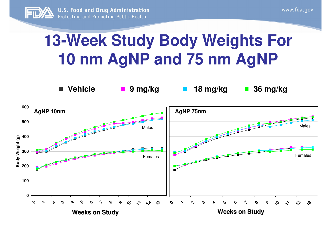

**Vehicle**

#### **13-Week Study Body Weights For 10 nm AgNP and 75 nm AgNP**

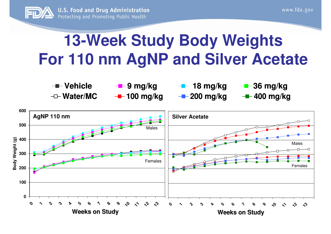

#### **13-Week Study Body WeightsFor 110 nm AgNP and Silver Acetate**



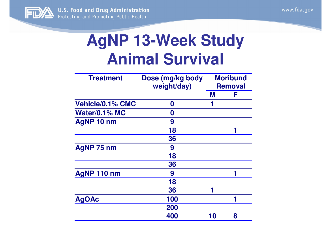

#### **AgNP 13-Week Study Animal Survival**

| <b>Treatment</b>     | Dose (mg/kg body<br>weight/day) | <b>Moribund</b><br><b>Removal</b> |   |
|----------------------|---------------------------------|-----------------------------------|---|
|                      |                                 | M                                 | F |
| Vehicle/0.1% CMC     | 0                               |                                   |   |
| <b>Water/0.1% MC</b> | O                               |                                   |   |
| <b>AgNP 10 nm</b>    | 9                               |                                   |   |
|                      | 18                              |                                   |   |
|                      | 36                              |                                   |   |
| <b>AgNP 75 nm</b>    | 9                               |                                   |   |
|                      | 18                              |                                   |   |
|                      | 36                              |                                   |   |
| AgNP 110 nm          | 9                               |                                   |   |
|                      | 18                              |                                   |   |
|                      | 36                              | 1                                 |   |
| <b>AgOAc</b>         | 100                             |                                   |   |
|                      | 200                             |                                   |   |
|                      | 400                             | 10                                | 8 |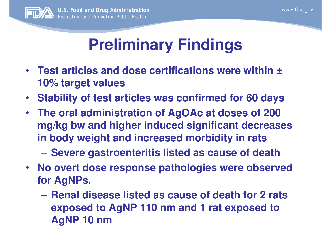

### **Preliminary Findings**

- **Test articles and dose certifications were within ±10% target values**
- •**Stability of test articles was confirmed for 60 days**
- **The oral administration of AgOAc at doses of 200 mg/kg bw and higher induced significant decreases in body weight and increased morbidity in rats**
	- $\mathcal{L}_{\mathcal{A}}$  , and the set of  $\mathcal{L}_{\mathcal{A}}$ **Severe gastroenteritis listed as cause of death**
- **No overt dose response pathologies were observed for AgNPs.**
	- **Renal disease listed as cause of death for 2 rats exposed to AgNP 110 nm and 1 rat exposed to AgNP 10 nm**